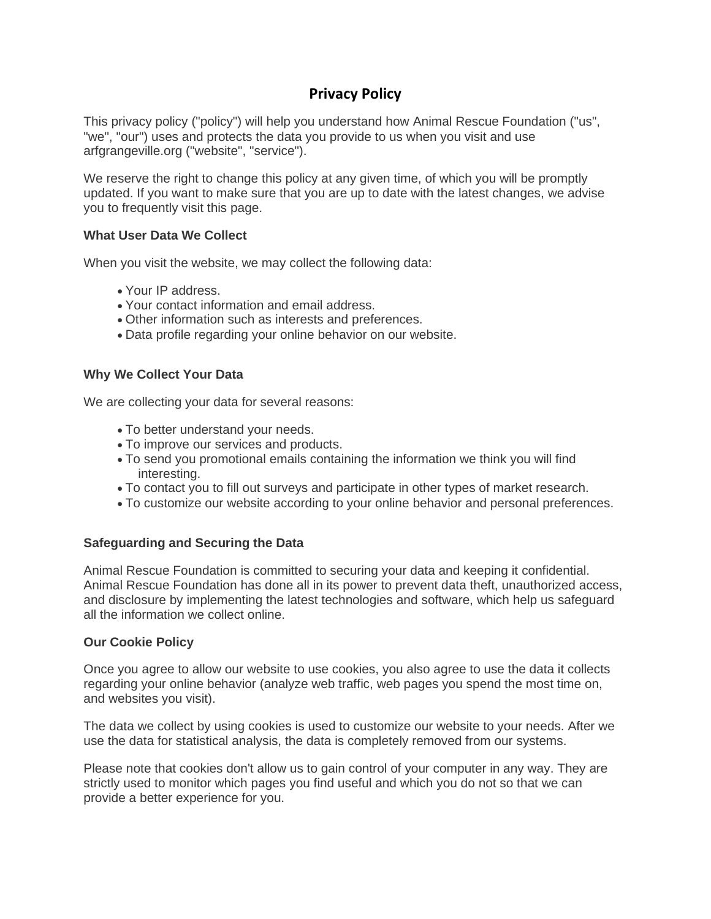# **Privacy Policy**

This privacy policy ("policy") will help you understand how Animal Rescue Foundation ("us", "we", "our") uses and protects the data you provide to us when you visit and use arfgrangeville.org ("website", "service").

We reserve the right to change this policy at any given time, of which you will be promptly updated. If you want to make sure that you are up to date with the latest changes, we advise you to frequently visit this page.

# **What User Data We Collect**

When you visit the website, we may collect the following data:

- Your IP address.
- Your contact information and email address.
- Other information such as interests and preferences.
- Data profile regarding your online behavior on our website.

## **Why We Collect Your Data**

We are collecting your data for several reasons:

- To better understand your needs.
- To improve our services and products.
- To send you promotional emails containing the information we think you will find interesting.
- To contact you to fill out surveys and participate in other types of market research.
- To customize our website according to your online behavior and personal preferences.

# **Safeguarding and Securing the Data**

Animal Rescue Foundation is committed to securing your data and keeping it confidential. Animal Rescue Foundation has done all in its power to prevent data theft, unauthorized access, and disclosure by implementing the latest technologies and software, which help us safeguard all the information we collect online.

#### **Our Cookie Policy**

Once you agree to allow our website to use cookies, you also agree to use the data it collects regarding your online behavior (analyze web traffic, web pages you spend the most time on, and websites you visit).

The data we collect by using cookies is used to customize our website to your needs. After we use the data for statistical analysis, the data is completely removed from our systems.

Please note that cookies don't allow us to gain control of your computer in any way. They are strictly used to monitor which pages you find useful and which you do not so that we can provide a better experience for you.